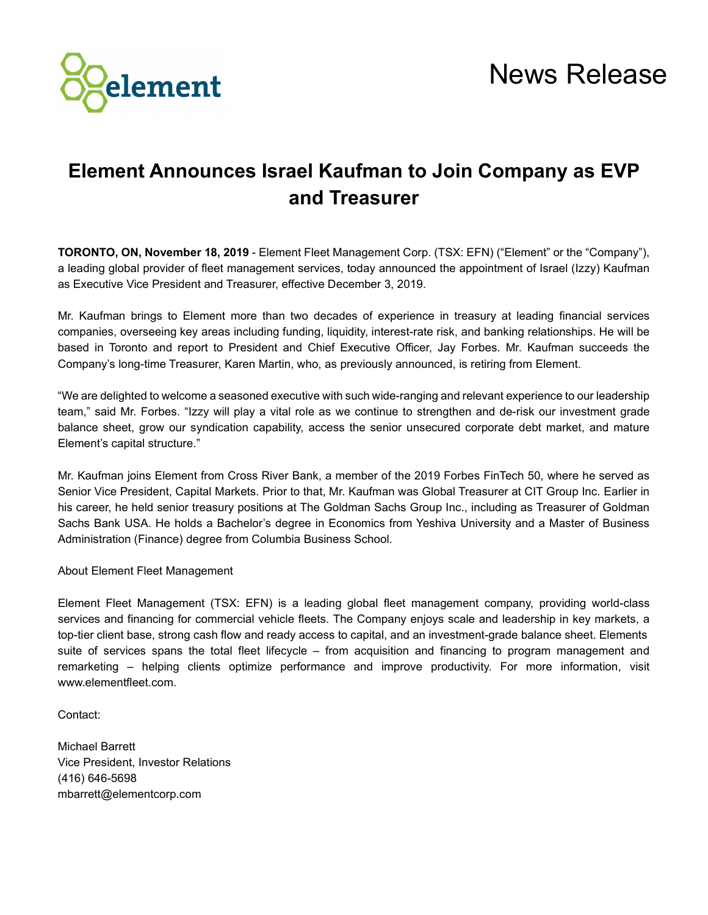

## **Element Announces Israel Kaufman to Join Company as EVP and Treasurer**

**TORONTO, ON, November 18, 2019** - Element Fleet Management Corp. (TSX: EFN) ("Element" or the "Company"), a leading global provider of fleet management services, today announced the appointment of Israel (Izzy) Kaufman as Executive Vice President and Treasurer, effective December 3, 2019.

Mr. Kaufman brings to Element more than two decades of experience in treasury at leading financial services companies, overseeing key areas including funding, liquidity, interest-rate risk, and banking relationships. He will be based in Toronto and report to President and Chief Executive Officer, Jay Forbes. Mr. Kaufman succeeds the Company's long-time Treasurer, Karen Martin, who, as previously announced, is retiring from Element.

"We are delighted to welcome a seasoned executive with such wide-ranging and relevant experience to our leadership team," said Mr. Forbes. "Izzy will play a vital role as we continue to strengthen and de-risk our investment grade balance sheet, grow our syndication capability, access the senior unsecured corporate debt market, and mature Element's capital structure."

Mr. Kaufman joins Element from Cross River Bank, a member of the 2019 Forbes FinTech 50, where he served as Senior Vice President, Capital Markets. Prior to that, Mr. Kaufman was Global Treasurer at CIT Group Inc. Earlier in his career, he held senior treasury positions at The Goldman Sachs Group Inc., including as Treasurer of Goldman Sachs Bank USA. He holds a Bachelor's degree in Economics from Yeshiva University and a Master of Business Administration (Finance) degree from Columbia Business School.

About Element Fleet Management

Element Fleet Management (TSX: EFN) is a leading global fleet management company, providing world-class services and financing for commercial vehicle fleets. The Company enjoys scale and leadership in key markets, a top-tier client base, strong cash flow and ready access to capital, and an investment-grade balance sheet. Elements suite of services spans the total fleet lifecycle – from acquisition and financing to program management and remarketing – helping clients optimize performance and improve productivity. For more information, visit www.elementfleet.com.

Contact:

Michael Barrett Vice President, Investor Relations (416) 646-5698 mbarrett@elementcorp.com